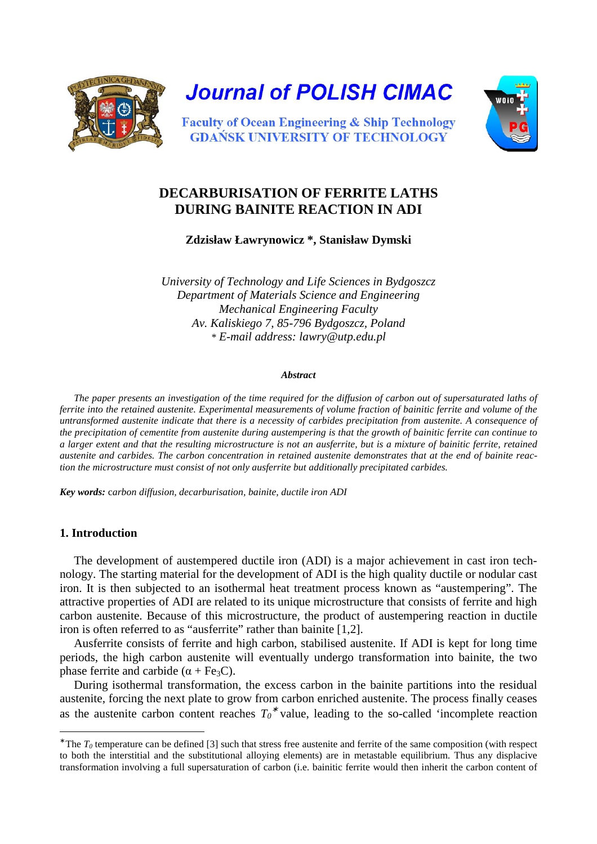

**Journal of POLISH CIMAC** 



**Faculty of Ocean Engineering & Ship Technology GDANSK UNIVERSITY OF TECHNOLOGY** 

# **DECARBURISATION OF FERRITE LATHS DURING BAINITE REACTION IN ADI**

**Zdzisław Ławrynowicz \*, Stanisław Dymski** 

*University of Technology and Life Sciences in Bydgoszcz Department of Materials Science and Engineering Mechanical Engineering Faculty Av. Kaliskiego 7, 85-796 Bydgoszcz, Poland \* E-mail address: lawry@utp.edu.pl*

#### *Abstract*

The paper presents an investigation of the time required for the diffusion of carbon out of supersaturated laths of *ferrite into the retained austenite. Experimental measurements of volume fraction of bainitic ferrite and volume of the untransformed austenite indicate that there is a necessity of carbides precipitation from austenite. A consequence of the precipitation of cementite from austenite during austempering is that the growth of bainitic ferrite can continue to a larger extent and that the resulting microstructure is not an ausferrite, but is a mixture of bainitic ferrite, retained austenite and carbides. The carbon concentration in retained austenite demonstrates that at the end of bainite reaction the microstructure must consist of not only ausferrite but additionally precipitated carbides.* 

*Key words:* c*arbon diffusion, decarburisation, bainite, ductile iron ADI* 

### **1. Introduction**

l

The development of austempered ductile iron (ADI) is a major achievement in cast iron technology. The starting material for the development of ADI is the high quality ductile or nodular cast iron. It is then subjected to an isothermal heat treatment process known as "austempering". The attractive properties of ADI are related to its unique microstructure that consists of ferrite and high carbon austenite. Because of this microstructure, the product of austempering reaction in ductile iron is often referred to as "ausferrite" rather than bainite [1,2].

Ausferrite consists of ferrite and high carbon, stabilised austenite. If ADI is kept for long time periods, the high carbon austenite will eventually undergo transformation into bainite, the two phase ferrite and carbide ( $\alpha$  + Fe<sub>3</sub>C).

During isothermal transformation, the excess carbon in the bainite partitions into the residual austenite, forcing the next plate to grow from carbon enriched austenite. The process finally ceases as the austenite carbon content reaches  $T_0^*$  value, leading to the so-called 'incomplete reaction

 $*$  The  $T_0$  temperature can be defined [3] such that stress free austenite and ferrite of the same composition (with respect to both the interstitial and the substitutional alloying elements) are in metastable equilibrium. Thus any displacive transformation involving a full supersaturation of carbon (i.e. bainitic ferrite would then inherit the carbon content of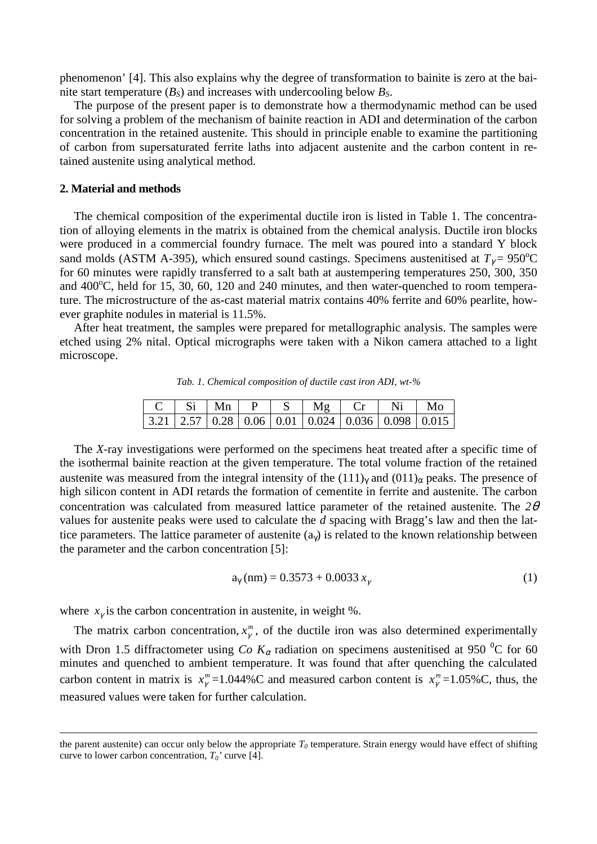phenomenon' [4]. This also explains why the degree of transformation to bainite is zero at the bainite start temperature  $(B<sub>S</sub>)$  and increases with undercooling below  $B<sub>S</sub>$ .

The purpose of the present paper is to demonstrate how a thermodynamic method can be used for solving a problem of the mechanism of bainite reaction in ADI and determination of the carbon concentration in the retained austenite. This should in principle enable to examine the partitioning of carbon from supersaturated ferrite laths into adjacent austenite and the carbon content in retained austenite using analytical method.

#### **2. Material and methods**

l

The chemical composition of the experimental ductile iron is listed in Table 1. The concentration of alloying elements in the matrix is obtained from the chemical analysis. Ductile iron blocks were produced in a commercial foundry furnace. The melt was poured into a standard Y block sand molds (ASTM A-395), which ensured sound castings. Specimens austenitised at  $T<sub>\gamma</sub>$  = 950<sup>o</sup>C for 60 minutes were rapidly transferred to a salt bath at austempering temperatures 250, 300, 350 and  $400^{\circ}$ C, held for 15, 30, 60, 120 and 240 minutes, and then water-quenched to room temperature. The microstructure of the as-cast material matrix contains 40% ferrite and 60% pearlite, however graphite nodules in material is 11.5%.

After heat treatment, the samples were prepared for metallographic analysis. The samples were etched using 2% nital. Optical micrographs were taken with a Nikon camera attached to a light microscope.

*Tab. 1. Chemical composition of ductile cast iron ADI, wt-%* 

|  | Mn |  |                                                                                                                 |  |
|--|----|--|-----------------------------------------------------------------------------------------------------------------|--|
|  |    |  | $\mid$ 3.21 $\mid$ 2.57 $\mid$ 0.28 $\mid$ 0.06 $\mid$ 0.01 $\mid$ 0.024 $\mid$ 0.036 $\mid$ 0.098 $\mid$ 0.015 |  |

The *X*-ray investigations were performed on the specimens heat treated after a specific time of the isothermal bainite reaction at the given temperature. The total volume fraction of the retained austenite was measured from the integral intensity of the  $(111)<sub>\gamma</sub>$  and  $(011)<sub>\alpha</sub>$  peaks. The presence of high silicon content in ADI retards the formation of cementite in ferrite and austenite. The carbon concentration was calculated from measured lattice parameter of the retained austenite. The *2*θ values for austenite peaks were used to calculate the *d* spacing with Bragg's law and then the lattice parameters. The lattice parameter of austenite  $(a<sub>y</sub>)$  is related to the known relationship between the parameter and the carbon concentration [5]:

$$
a_{\gamma}(nm) = 0.3573 + 0.0033 x_{\gamma}
$$
 (1)

where  $x_{\gamma}$  is the carbon concentration in austenite, in weight %.

The matrix carbon concentration,  $x^m_\gamma$ , of the ductile iron was also determined experimentally with Dron 1.5 diffractometer using *Co K<sub>α</sub>* radiation on specimens austenitised at 950 <sup>0</sup>C for 60 minutes and quenched to ambient temperature. It was found that after quenching the calculated carbon content in matrix is  $x_\gamma^m = 1.044\%$ C and measured carbon content is  $x_\gamma^m = 1.05\%$ C, thus, the measured values were taken for further calculation.

the parent austenite) can occur only below the appropriate  $T<sub>0</sub>$  temperature. Strain energy would have effect of shifting curve to lower carbon concentration, *T0'* curve [4].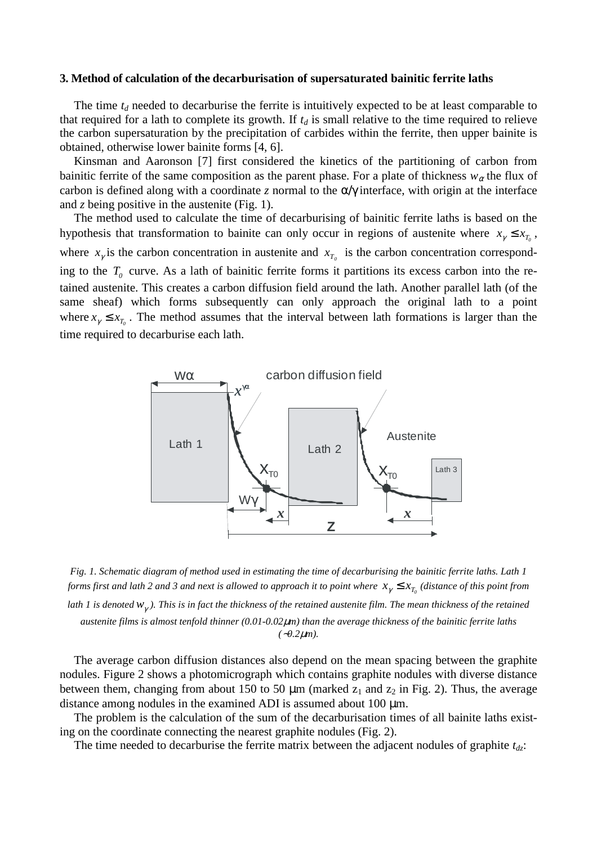#### **3. Method of calculation of the decarburisation of supersaturated bainitic ferrite laths**

The time  $t_d$  needed to decarburise the ferrite is intuitively expected to be at least comparable to that required for a lath to complete its growth. If  $t_d$  is small relative to the time required to relieve the carbon supersaturation by the precipitation of carbides within the ferrite, then upper bainite is obtained, otherwise lower bainite forms [4, 6].

Kinsman and Aaronson [7] first considered the kinetics of the partitioning of carbon from bainitic ferrite of the same composition as the parent phase. For a plate of thickness  $w_\alpha$  the flux of carbon is defined along with a coordinate *z* normal to the α/γ interface, with origin at the interface and *z* being positive in the austenite (Fig. 1).

The method used to calculate the time of decarburising of bainitic ferrite laths is based on the hypothesis that transformation to bainite can only occur in regions of austenite where  $x_{\gamma} \le x_{T_0}$ , where  $x_{\gamma}$  is the carbon concentration in austenite and  $x_{T_0}$  is the carbon concentration corresponding to the  $T<sub>0</sub>$  curve. As a lath of bainitic ferrite forms it partitions its excess carbon into the retained austenite. This creates a carbon diffusion field around the lath. Another parallel lath (of the same sheaf) which forms subsequently can only approach the original lath to a point where  $x_{\gamma} \le x_{T_0}$ . The method assumes that the interval between lath formations is larger than the time required to decarburise each lath.



*Fig. 1. Schematic diagram of method used in estimating the time of decarburising the bainitic ferrite laths. Lath 1 forms first and lath 2 and 3 and next is allowed to approach it to point where*  $x_{\gamma}$  $\le$  $x_{T_0}$  *(distance of this point from lath 1 is denoted w*<sup>γ</sup> *). This is in fact the thickness of the retained austenite film. The mean thickness of the retained austenite films is almost tenfold thinner (0.01-0.02*µ*m) than the average thickness of the bainitic ferrite laths (*∼*0.2*µ*m).*

The average carbon diffusion distances also depend on the mean spacing between the graphite nodules. Figure 2 shows a photomicrograph which contains graphite nodules with diverse distance between them, changing from about 150 to 50  $\mu$ m (marked  $z_1$  and  $z_2$  in Fig. 2). Thus, the average distance among nodules in the examined ADI is assumed about 100 µm.

The problem is the calculation of the sum of the decarburisation times of all bainite laths existing on the coordinate connecting the nearest graphite nodules (Fig. 2).

The time needed to decarburise the ferrite matrix between the adjacent nodules of graphite *tdz*: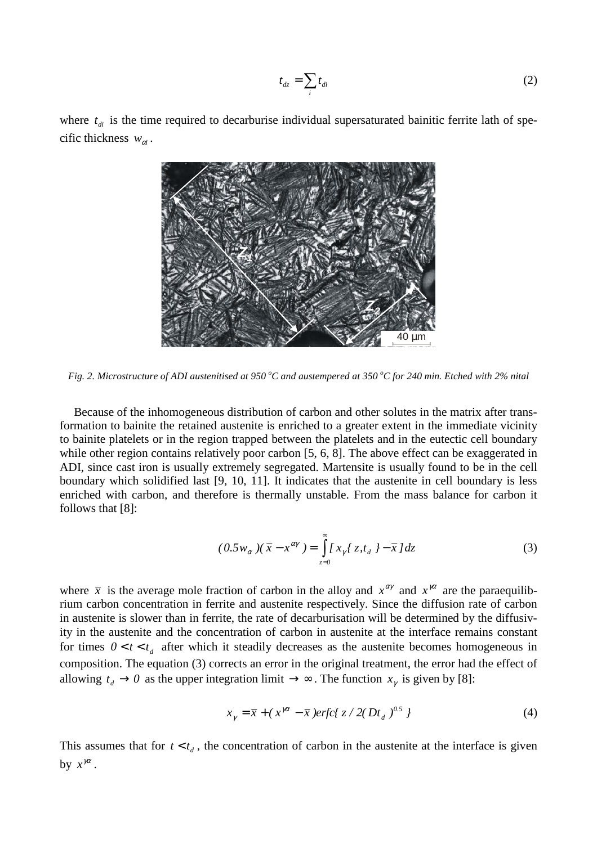$$
t_{dz} = \sum_{i} t_{di} \tag{2}
$$

where  $t_{di}$  is the time required to decarburise individual supersaturated bainitic ferrite lath of specific thickness  $w_{\alpha i}$ .



*Fig. 2. Microstructure of ADI austenitised at 950 <sup>o</sup>C and austempered at 350 <sup>o</sup>C for 240 min. Etched with 2% nital* 

Because of the inhomogeneous distribution of carbon and other solutes in the matrix after transformation to bainite the retained austenite is enriched to a greater extent in the immediate vicinity to bainite platelets or in the region trapped between the platelets and in the eutectic cell boundary while other region contains relatively poor carbon [5, 6, 8]. The above effect can be exaggerated in ADI, since cast iron is usually extremely segregated. Martensite is usually found to be in the cell boundary which solidified last [9, 10, 11]. It indicates that the austenite in cell boundary is less enriched with carbon, and therefore is thermally unstable. From the mass balance for carbon it follows that [8]:

$$
(0.5w_{\alpha})(\bar{x} - x^{\alpha\gamma}) = \int_{z=0}^{\infty} [x_{\gamma}(z, t_{d}) - \bar{x}] dz
$$
 (3)

where  $\bar{x}$  is the average mole fraction of carbon in the alloy and  $x^{\alpha\gamma}$  and  $x^{\gamma\alpha}$  are the paraequilibrium carbon concentration in ferrite and austenite respectively. Since the diffusion rate of carbon in austenite is slower than in ferrite, the rate of decarburisation will be determined by the diffusivity in the austenite and the concentration of carbon in austenite at the interface remains constant for times  $0 < t < t_d$  after which it steadily decreases as the austenite becomes homogeneous in composition. The equation (3) corrects an error in the original treatment, the error had the effect of allowing  $t_d \to 0$  as the upper integration limit  $\to \infty$ . The function  $x_\gamma$  is given by [8]:

$$
x_{\gamma} = \bar{x} + (x^{\gamma \alpha} - \bar{x})erfc\{z/2(Dt_d)^{0.5}\}\tag{4}
$$

This assumes that for  $t < t_d$ , the concentration of carbon in the austenite at the interface is given by  $x^{\gamma\alpha}$ .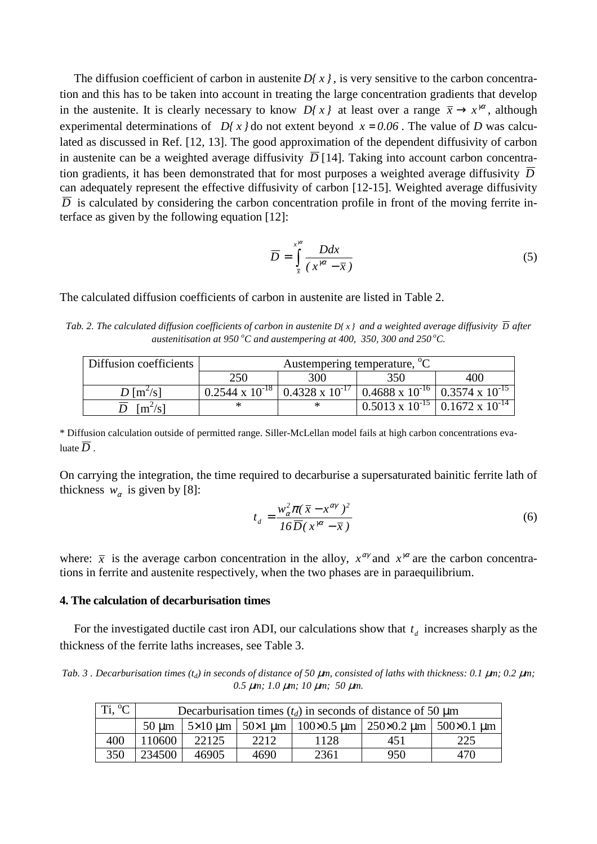The diffusion coefficient of carbon in austenite  $D\{x\}$ , is very sensitive to the carbon concentration and this has to be taken into account in treating the large concentration gradients that develop in the austenite. It is clearly necessary to know  $D\{x\}$  at least over a range  $\bar{x} \to x^{i\alpha}$ , although experimental determinations of *D* $\left\{x \right\}$  do not extent beyond  $x = 0.06$ . The value of *D* was calculated as discussed in Ref. [12, 13]. The good approximation of the dependent diffusivity of carbon in austenite can be a weighted average diffusivity  $\overline{D}$  [14]. Taking into account carbon concentration gradients, it has been demonstrated that for most purposes a weighted average diffusivity  $\overline{D}$ can adequately represent the effective diffusivity of carbon [12-15]. Weighted average diffusivity  $\overline{D}$  is calculated by considering the carbon concentration profile in front of the moving ferrite interface as given by the following equation [12]:

$$
\overline{D} = \int_{\overline{x}}^{x^{i\alpha}} \frac{Ddx}{(x^{i\alpha} - \overline{x})}
$$
(5)

The calculated diffusion coefficients of carbon in austenite are listed in Table 2.

*Tab.* 2. The calculated diffusion coefficients of carbon in austenite  $D(x)$  and a weighted average diffusivity  $\overline{D}$  after *austenitisation at 950 <sup>o</sup>C and austempering at 400, 350, 300 and 250<sup>o</sup>C.* 

| Diffusion coefficients           | Austempering temperature, <sup>o</sup> C |                          |                                                               |     |  |  |
|----------------------------------|------------------------------------------|--------------------------|---------------------------------------------------------------|-----|--|--|
|                                  | 250                                      | 300                      | 350                                                           | 400 |  |  |
| $D \left[\frac{m^2}{s^1}\right]$ | $0.2544 \times 10^{-18}$                 | $0.4328 \times 10^{-17}$ | $\vert$ 0.4688 x 10 <sup>-16</sup> 0.3574 x 10 <sup>-15</sup> |     |  |  |
| $\rm [m^2/s]$                    |                                          |                          | $10.5013 \times 10^{-15}$ 0.1672 x 10 <sup>-14</sup>          |     |  |  |

\* Diffusion calculation outside of permitted range. Siller-McLellan model fails at high carbon concentrations evaluate  $\overline{D}$ 

On carrying the integration, the time required to decarburise a supersaturated bainitic ferrite lath of thickness  $w_\alpha$  is given by [8]:

$$
t_d = \frac{w_\alpha^2 \pi (\bar{x} - x^{\alpha \gamma})^2}{16 \overline{D} (x^{\gamma \alpha} - \bar{x})}
$$
(6)

where:  $\bar{x}$  is the average carbon concentration in the alloy,  $x^{\alpha\gamma}$  and  $x^{\gamma\alpha}$  are the carbon concentrations in ferrite and austenite respectively, when the two phases are in paraequilibrium.

### **4. The calculation of decarburisation times**

For the investigated ductile cast iron ADI, our calculations show that  $t_d$  increases sharply as the thickness of the ferrite laths increases, see Table 3.

Tab. 3 . Decarburisation times  $(t_d)$  in seconds of distance of 50  $\mu$ m, consisted of laths with thickness: 0.1  $\mu$ m; 0.2  $\mu$ m; *0.5* µ*m; 1.0* µ*m; 10* µ*m; 50* µ*m.*

| Ti, $^{\circ}C$ | Decarburisation times $(t_d)$ in seconds of distance of 50 µm |       |      |                                                                                                       |     |     |  |  |
|-----------------|---------------------------------------------------------------|-------|------|-------------------------------------------------------------------------------------------------------|-----|-----|--|--|
|                 | $50 \mu m$                                                    |       |      | $5 \times 10$ um   $50 \times 1$ um   $100 \times 0.5$ um   $250 \times 0.2$ um   $500 \times 0.1$ um |     |     |  |  |
| 400             | 10600                                                         | 22125 | 2212 | 1128                                                                                                  | 451 | 225 |  |  |
| 350             | 234500                                                        | 46905 | 4690 | 2361                                                                                                  | 950 | 470 |  |  |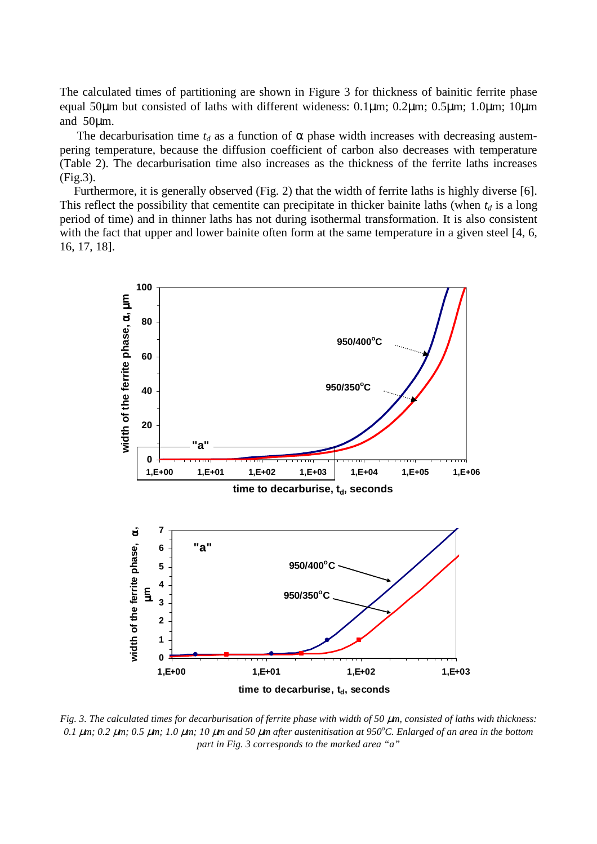The calculated times of partitioning are shown in Figure 3 for thickness of bainitic ferrite phase equal 50µm but consisted of laths with different wideness: 0.1µm; 0.2µm; 0.5µm; 1.0µm; 10µm and 50µm.

The decarburisation time  $t_d$  as a function of  $\alpha$  phase width increases with decreasing austempering temperature, because the diffusion coefficient of carbon also decreases with temperature (Table 2). The decarburisation time also increases as the thickness of the ferrite laths increases (Fig.3).

Furthermore, it is generally observed (Fig. 2) that the width of ferrite laths is highly diverse [6]. This reflect the possibility that cementite can precipitate in thicker bainite laths (when  $t_d$  is a long period of time) and in thinner laths has not during isothermal transformation. It is also consistent with the fact that upper and lower bainite often form at the same temperature in a given steel [4, 6, 16, 17, 18].



*Fig. 3. The calculated times for decarburisation of ferrite phase with width of 50*  $\mu$ *m, consisted of laths with thickness: 0.1* µ*m; 0.2* µ*m; 0.5* µ*m; 1.0* µ*m; 10* µ*m and 50* µ*m after austenitisation at 950<sup>o</sup>C. Enlarged of an area in the bottom part in Fig. 3 corresponds to the marked area "a"*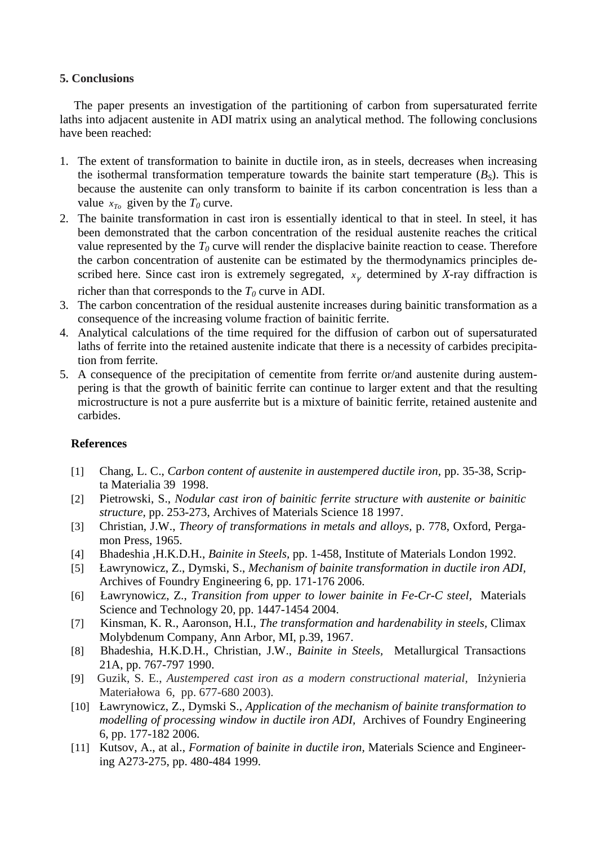## **5. Conclusions**

The paper presents an investigation of the partitioning of carbon from supersaturated ferrite laths into adjacent austenite in ADI matrix using an analytical method. The following conclusions have been reached:

- 1. The extent of transformation to bainite in ductile iron, as in steels, decreases when increasing the isothermal transformation temperature towards the bainite start temperature  $(B<sub>S</sub>)$ . This is because the austenite can only transform to bainite if its carbon concentration is less than a value  $x_{T_0}$  given by the  $T_0$  curve.
- 2. The bainite transformation in cast iron is essentially identical to that in steel. In steel, it has been demonstrated that the carbon concentration of the residual austenite reaches the critical value represented by the  $T_0$  curve will render the displacive bainite reaction to cease. Therefore the carbon concentration of austenite can be estimated by the thermodynamics principles described here. Since cast iron is extremely segregated,  $x<sub>\gamma</sub>$  determined by *X*-ray diffraction is richer than that corresponds to the  $T_0$  curve in ADI.

3. The carbon concentration of the residual austenite increases during bainitic transformation as a consequence of the increasing volume fraction of bainitic ferrite.

- 4. Analytical calculations of the time required for the diffusion of carbon out of supersaturated laths of ferrite into the retained austenite indicate that there is a necessity of carbides precipitation from ferrite.
- 5. A consequence of the precipitation of cementite from ferrite or/and austenite during austempering is that the growth of bainitic ferrite can continue to larger extent and that the resulting microstructure is not a pure ausferrite but is a mixture of bainitic ferrite, retained austenite and carbides.

# **References**

- [1] Chang, L. C., *Carbon content of austenite in austempered ductile iron*, pp. 35-38, Scripta Materialia 39 1998.
- [2] Pietrowski, S., *Nodular cast iron of bainitic ferrite structure with austenite or bainitic structure,* pp. 253-273, Archives of Materials Science 18 1997.
- [3] Christian, J.W., *Theory of transformations in metals and alloys,* p. 778, Oxford, Pergamon Press, 1965.
- [4] Bhadeshia ,H.K.D.H., *Bainite in Steels,* pp. 1-458, Institute of Materials London 1992.
- [5] Ławrynowicz, Z., Dymski, S., *Mechanism of bainite transformation in ductile iron ADI,*  Archives of Foundry Engineering 6, pp. 171-176 2006.
- [6] Ławrynowicz, Z., *Transition from upper to lower bainite in Fe-Cr-C steel,* Materials Science and Technology 20, pp. 1447-1454 2004.
- [7] Kinsman, K. R., Aaronson, H.I., *The transformation and hardenability in steels,* Climax Molybdenum Company, Ann Arbor, MI, p.39, 1967.
- [8] Bhadeshia, H.K.D.H., Christian, J.W., *Bainite in Steels,* Metallurgical Transactions 21A, pp. 767-797 1990.
- [9] Guzik, S. E., *Austempered cast iron as a modern constructional material,* Inżynieria Materiałowa 6, pp. 677-680 2003).
- [10] Ławrynowicz, Z., Dymski S., *Application of the mechanism of bainite transformation to modelling of processing window in ductile iron ADI,* Archives of Foundry Engineering 6, pp. 177-182 2006.
- [11] Kutsov, A., at al., *Formation of bainite in ductile iron,* Materials Science and Engineering A273-275, pp. 480-484 1999.